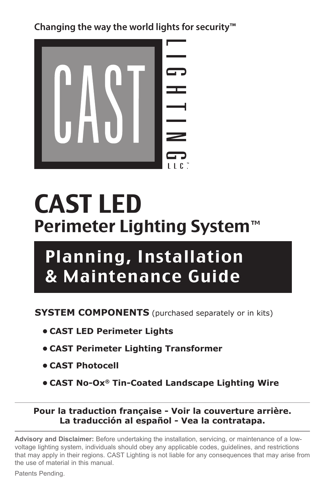**Changing the way the world lights for security™**



# CAST LED Perimeter Lighting System

## Planning, Installation & Maintenance Guide

**SYSTEM COMPONENTS** (purchased separately or in kits)

- **• CAST LED Perimeter Lights**
- **• CAST Perimeter Lighting Transformer**
- **• CAST Photocell**
- **• CAST No-Ox® Tin-Coated Landscape Lighting Wire**

#### **Pour la traduction française - Voir la couverture arrière. La traducción al español - Vea la contratapa.**

**Advisory and Disclaimer:** Before undertaking the installation, servicing, or maintenance of a lowvoltage lighting system, individuals should obey any applicable codes, guidelines, and restrictions that may apply in their regions. CAST Lighting is not liable for any consequences that may arise from the use of material in this manual.

Patents Pending.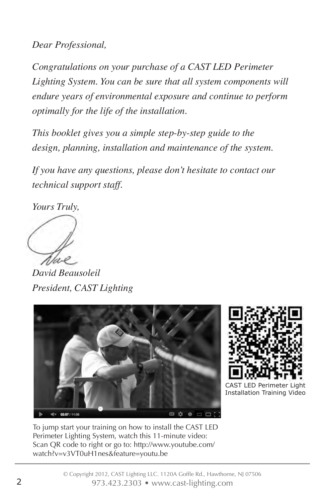*Dear Professional,*

*Congratulations on your purchase of a CAST LED Perimeter Lighting System. You can be sure that all system components will endure years of environmental exposure and continue to perform optimally for the life of the installation.*

*This booklet gives you a simple step-by-step guide to the design, planning, installation and maintenance of the system.* 

*If you have any questions, please don't hesitate to contact our technical support staff.*

*Yours Truly,*

*David Beausoleil President, CAST Lighting*





CAST LED Perimeter L Installation Training Video

To jump start your training on how to install the CAST LED Perimeter Lighting System, watch this 11-minute video: Scan QR code to right or go to: http://www.youtube.com/ watch?v=v3VT0uH1nes&feature=youtu.be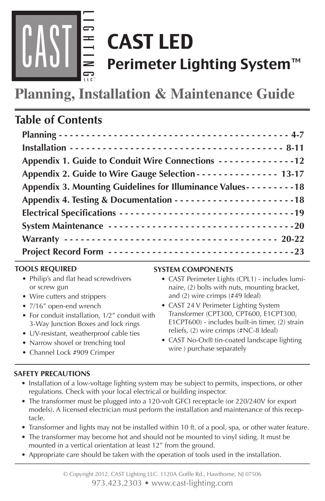

# CAST LED Perimeter Lighting System™

**Planning, Installation & Maintenance Guide**

## **Table of Contents**

#### **TOOLS REQUIRED**

- Philip's and flat head screwdrivers or screw gun
- Wire cutters and strippers
- 7/16" open-end wrench
- For conduit installation, 1/2" conduit with 3-Way Junction Boxes and lock rings
- UV-resistant, weatherproof cable ties
- Narrow shovel or trenching tool
- Channel Lock #909 Crimper

#### **SYSTEM COMPONENTS**

- CAST Perimeter Lights (CPL1) includes luminaire, (2) bolts with nuts, mounting bracket, and (2) wire crimps (#49 Ideal)
- CAST 24 V Perimeter Lighting System Transformer (CPT300, CPT600, E1CPT300, E1CPT600) - includes built-in timer, (2) strain reliefs, (2) wire crimps (#NC-8 Ideal)
- CAST No-Ox<sup>®</sup> tin-coated landscape lighting wire ) purchase separately

#### **SAFETY PRECAUTIONS**

- Installation of a low-voltage lighting system may be subject to permits, inspections, or other regulations. Check with your local electrical or building inspector.
- The transformer must be plugged into a 120-volt GFCI receptacle (or 220/240V for export models). A licensed electrician must perform the installation and maintenance of this receptacle.
- Transformer and lights may not be installed within 10 ft. of a pool, spa, or other water feature.
- The transformer may become hot and should not be mounted to vinyl siding. It must be mounted in a vertical orientation at least 12" from the ground.
- Appropriate care should be taken with the operation of tools used in the installation.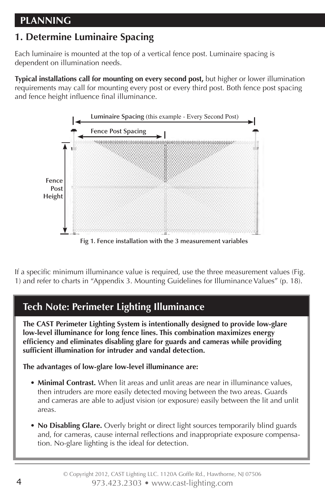## **PLANNING**

## **1. Determine Luminaire Spacing**

Each luminaire is mounted at the top of a vertical fence post. Luminaire spacing is dependent on illumination needs.

**Typical installations call for mounting on every second post,** but higher or lower illumination requirements may call for mounting every post or every third post. Both fence post spacing and fence height influence final illuminance.



If a specific minimum illuminance value is required, use the three measurement values (Fig. 1) and refer to charts in "Appendix 3. Mounting Guidelines for Illuminance Values" (p. 18).

## **Tech Note: Perimeter Lighting Illuminance**

**The CAST Perimeter Lighting System is intentionally designed to provide low-glare low-level illuminance for long fence lines. This combination maximizes energy efficiency and eliminates disabling glare for guards and cameras while providing sufficient illumination for intruder and vandal detection.** 

**The advantages of low-glare low-level illuminance are:**

- **• Minimal Contrast.** When lit areas and unlit areas are near in illuminance values, then intruders are more easily detected moving between the two areas. Guards and cameras are able to adjust vision (or exposure) easily between the lit and unlit areas.
- **• No Disabling Glare.** Overly bright or direct light sources temporarily blind guards and, for cameras, cause internal reflections and inappropriate exposure compensation. No-glare lighting is the ideal for detection.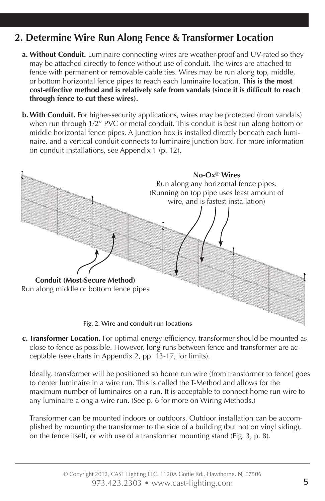## **2. Determine Wire Run Along Fence & Transformer Location**

- **a. Without Conduit.** Luminaire connecting wires are weather-proof and UV-rated so they may be attached directly to fence without use of conduit. The wires are attached to fence with permanent or removable cable ties. Wires may be run along top, middle, or bottom horizontal fence pipes to reach each luminaire location. **This is the most cost-effective method and is relatively safe from vandals (since it is difficult to reach through fence to cut these wires).**
- **b. With Conduit.** For higher-security applications, wires may be protected (from vandals) when run through 1/2" PVC or metal conduit. This conduit is best run along bottom or middle horizontal fence pipes. A junction box is installed directly beneath each luminaire, and a vertical conduit connects to luminaire junction box. For more information on conduit installations, see Appendix 1 (p. 12).



**c. Transformer Location.** For optimal energy-efficiency, transformer should be mounted as close to fence as possible. However, long runs between fence and transformer are acceptable (see charts in Appendix 2, pp. 13-17, for limits).

Ideally, transformer will be positioned so home run wire (from transformer to fence) goes to center luminaire in a wire run. This is called the T-Method and allows for the maximum number of luminaires on a run. It is acceptable to connect home run wire to any luminaire along a wire run. (See p. 6 for more on Wiring Methods.)

Transformer can be mounted indoors or outdoors. Outdoor installation can be accomplished by mounting the transformer to the side of a building (but not on vinyl siding), on the fence itself, or with use of a transformer mounting stand (Fig. 3, p. 8).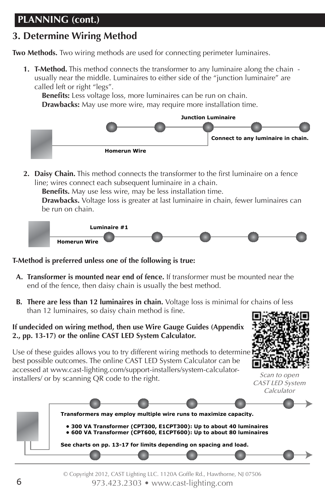## **PLANNING (cont.)**

## **3. Determine Wiring Method**

**Two Methods.** Two wiring methods are used for connecting perimeter luminaires.

**1. T-Method.** This method connects the transformer to any luminaire along the chain usually near the middle. Luminaires to either side of the "junction luminaire" are called left or right "legs".

**Benefits:** Less voltage loss, more luminaires can be run on chain. **Drawbacks:** May use more wire, may require more installation time.



**2. Daisy Chain.** This method connects the transformer to the first luminaire on a fence line; wires connect each subsequent luminaire in a chain.

**Benefits.** May use less wire, may be less installation time.

**Drawbacks.** Voltage loss is greater at last luminaire in chain, fewer luminaires can be run on chain.



#### **T-Method is preferred unless one of the following is true:**

- **A. Transformer is mounted near end of fence.** If transformer must be mounted near the end of the fence, then daisy chain is usually the best method.
- **B. There are less than 12 luminaires in chain.** Voltage loss is minimal for chains of less than 12 luminaires, so daisy chain method is fine.

#### **If undecided on wiring method, then use Wire Gauge Guides (Appendix 2., pp. 13-17) or the online CAST LED System Calculator.**

Use of these guides allows you to try different wiring methods to determine  $\bar{h}$ best possible outcomes. The online CAST LED System Calculator can be accessed at www.cast-lighting.com/support-installers/system-calculatorinstallers/ or by scanning QR code to the right.



Scan to open CAST LED System Calculator

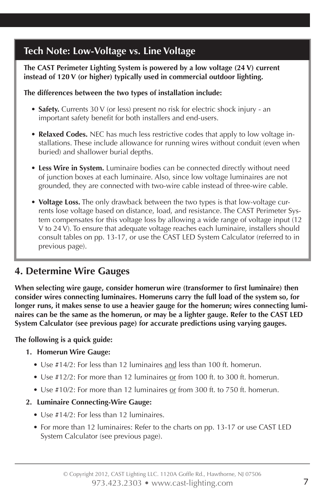## **Tech Note: Low-Voltage vs. Line Voltage**

#### **The CAST Perimeter Lighting System is powered by a low voltage (24 V) current instead of 120 V (or higher) typically used in commercial outdoor lighting.**

#### **The differences between the two types of installation include:**

- **• Safety.** Currents 30 V (or less) present no risk for electric shock injury an important safety benefit for both installers and end-users.
- **• Relaxed Codes.** NEC has much less restrictive codes that apply to low voltage installations. These include allowance for running wires without conduit (even when buried) and shallower burial depths.
- **• Less Wire in System.** Luminaire bodies can be connected directly without need of junction boxes at each luminaire. Also, since low voltage luminaires are not grounded, they are connected with two-wire cable instead of three-wire cable.
- **• Voltage Loss.** The only drawback between the two types is that low-voltage currents lose voltage based on distance, load, and resistance. The CAST Perimeter System compensates for this voltage loss by allowing a wide range of voltage input (12 V to 24 V). To ensure that adequate voltage reaches each luminaire, installers should consult tables on pp. 13-17, or use the CAST LED System Calculator (referred to in previous page).

## **4. Determine Wire Gauges**

**When selecting wire gauge, consider homerun wire (transformer to first luminaire) then consider wires connecting luminaires. Homeruns carry the full load of the system so, for longer runs, it makes sense to use a heavier gauge for the homerun; wires connecting lumi naires can be the same as the homerun, or may be a lighter gauge. Refer to the CAST LED System Calculator (see previous page) for accurate predictions using varying gauges.**

#### **The following is a quick guide:**

#### **1. Homerun Wire Gauge:**

- Use #14/2: For less than 12 luminaires and less than 100 ft. homerun.
- Use #12/2: For more than 12 luminaires or from 100 ft. to 300 ft. homerun.
- Use #10/2: For more than 12 luminaires or from 300 ft. to 750 ft. homerun.

#### **2. Luminaire Connecting-Wire Gauge:**

- Use #14/2: For less than 12 luminaires.
- For more than 12 luminaires: Refer to the charts on pp. 13-17 or use CAST LED System Calculator (see previous page).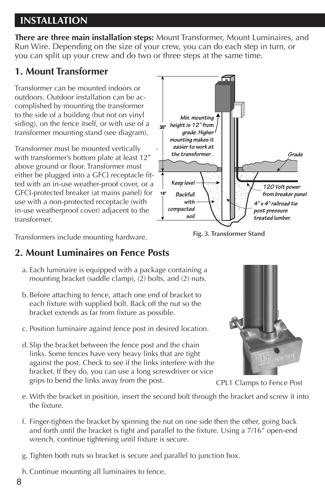## **INSTALLATION**

**There are three main installation steps:** Mount Transformer, Mount Luminaires, and Run Wire. Depending on the size of your crew, you can do each step in turn, or you can split up your crew and do two or three steps at the same time.

## **1. Mount Transformer**

Transformer can be mounted indoors or outdoors. Outdoor installation can be accomplished by mounting the transformer to the side of a building (but not on vinyl siding), on the fence itself, or with use of a transformer mounting stand (see diagram).

Transformer must be mounted vertically with transformer's bottom plate at least 12" above ground or floor. Transformer must either be plugged into a GFCI receptacle fitted with an in-use weather-proof cover, or a GFCI-protected breaker (at mains panel) for use with a non-protected receptacle (with in-use weatherproof cover) adjacent to the transformer. **54"**

Transformers include mounting hardware.

## **2. Mount Luminaires on Fence Posts Example 2. Breaker panel to the set outdoor**

- a. Each luminaire is equipped with a package containing a **Fig. 10-3 (with locations)** direct burial wire to the o mounting bracket (saddle clamp), (2) bolts, and (2) nuts.
- b. Before attaching to fence, attach one end of bracket to **Figure 20 amp out the breaker panel with a** 20 amp out each fixture with supplied bolt. Back off the nut so the bracket extends as far from fixture as possible. recept che
- c. Position luminaire against fence post in desired location.
- d. Slip the bracket between the fence post and the chain links. Some fences have very heavy links that are tight against the post. Check to see if the links interfere with the bracket. If they do, you can use a long screwdriver or vice grips to bend the links away from the post.



*\* Never mount a transformer to vinyl siding.* **Fig. 3. Transformer Stand**



CPL1 Clamps to Fence Post

- e. With the bracket in position, insert the second bolt through the bracket and screw it into the fixture.
- f. Finger-tighten the bracket by spinning the nut on one side then the other, going back and forth until the bracket is tight and parallel to the fixture. Using a 7/16" open-end wrench, continue tightening until fixture is secure.
- g. Tighten both nuts so bracket is secure and parallel to junction box.
- h.Continue mounting all luminaires to fence.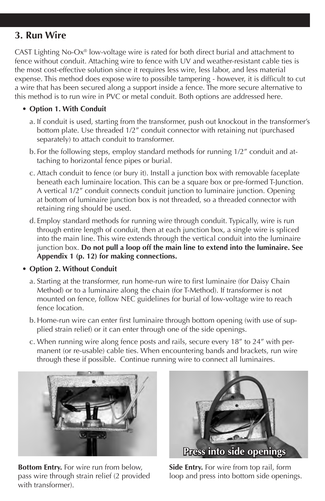## **3. Run Wire**

CAST Lighting No-Ox® low-voltage wire is rated for both direct burial and attachment to fence without conduit. Attaching wire to fence with UV and weather-resistant cable ties is the most cost-effective solution since it requires less wire, less labor, and less material expense. This method does expose wire to possible tampering - however, it is difficult to cut a wire that has been secured along a support inside a fence. The more secure alternative to this method is to run wire in PVC or metal conduit. Both options are addressed here.

- **• Option 1. With Conduit**
	- a. If conduit is used, starting from the transformer, push out knockout in the transformer's bottom plate. Use threaded 1/2" conduit connector with retaining nut (purchased separately) to attach conduit to transformer.
	- b. For the following steps, employ standard methods for running 1/2" conduit and attaching to horizontal fence pipes or burial.
	- c. Attach conduit to fence (or bury it). Install a junction box with removable faceplate beneath each luminaire location. This can be a square box or pre-formed T-Junction. A vertical 1/2" conduit connects conduit junction to luminaire junction. Opening at bottom of luminaire junction box is not threaded, so a threaded connector with retaining ring should be used.
	- d. Employ standard methods for running wire through conduit. Typically, wire is run through entire length of conduit, then at each junction box, a single wire is spliced into the main line. This wire extends through the vertical conduit into the luminaire junction box. **Do not pull a loop off the main line to extend into the luminaire. See Appendix 1 (p. 12) for making connections.**
- **• Option 2. Without Conduit**
	- a. Starting at the transformer, run home-run wire to first luminaire (for Daisy Chain Method) or to a luminaire along the chain (for T-Method). If transformer is not mounted on fence, follow NEC guidelines for burial of low-voltage wire to reach fence location.
	- b. Home-run wire can enter first luminaire through bottom opening (with use of supplied strain relief) or it can enter through one of the side openings.
	- c. When running wire along fence posts and rails, secure every 18" to 24" with permanent (or re-usable) cable ties. When encountering bands and brackets, run wire through these if possible. Continue running wire to connect all luminaires.



**Bottom Entry.** For wire run from below, pass wire through strain relief (2 provided with transformer).



**Side Entry.** For wire from top rail, form loop and press into bottom side openings.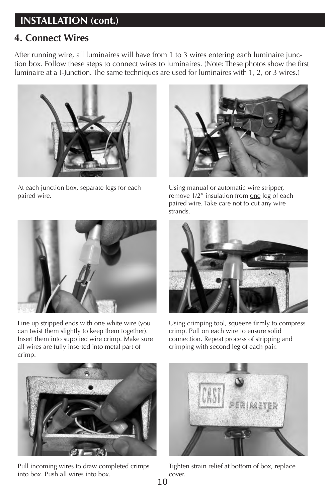## **INSTALLATION (cont.)**

### **4. Connect Wires**

After running wire, all luminaires will have from 1 to 3 wires entering each luminaire junction box. Follow these steps to connect wires to luminaires. (Note: These photos show the first luminaire at a T-Junction. The same techniques are used for luminaires with 1, 2, or 3 wires.)



At each junction box, separate legs for each paired wire.



Line up stripped ends with one white wire (you can twist them slightly to keep them together). Insert them into supplied wire crimp. Make sure all wires are fully inserted into metal part of crimp.



Using manual or automatic wire stripper, remove 1/2" insulation from one leg of each paired wire. Take care not to cut any wire strands.



Using crimping tool, squeeze firmly to compress crimp. Pull on each wire to ensure solid connection. Repeat process of stripping and crimping with second leg of each pair.



Pull incoming wires to draw completed crimps into box. Push all wires into box.



Tighten strain relief at bottom of box, replace cover.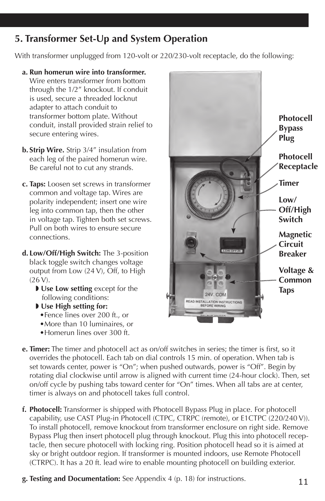## **5. Transformer Set-Up and System Operation**

With transformer unplugged from 120-volt or 220/230-volt receptacle, do the following:

- **a. Run homerun wire into transformer.** Wire enters transformer from bottom through the 1/2" knockout. If conduit is used, secure a threaded locknut adapter to attach conduit to transformer bottom plate. Without conduit, install provided strain relief to secure entering wires.
- **b. Strip Wire.** Strip 3/4" insulation from each leg of the paired homerun wire. Be careful not to cut any strands.
- **c. Taps:** Loosen set screws in transformer common and voltage tap. Wires are polarity independent; insert one wire leg into common tap, then the other in voltage tap. Tighten both set screws. Pull on both wires to ensure secure connections.
- **d. Low/Off/High Switch:** The 3-position black toggle switch changes voltage output from Low (24 V), Off, to High (26 V).
	- **I** Use Low setting except for the following conditions:
	- $\blacktriangleright$  Use High setting for:
		- •Fence lines over 200 ft., or
		- •More than 10 luminaires, or •Homerun lines over 300 ft.
- **Photocell Bypass PlugPhotocell Receptacle Timer Low/ Off/High**  *MINING* **Switch Magnetic Circuit COVECHER Breaker Voltage & Common Taps 24V. COM** READ INSTALLATION INSTRUCTIONS
- **e. Timer:** The timer and photocell act as on/off switches in series; the timer is first, so it overrides the photocell. Each tab on dial controls 15 min. of operation. When tab is set towards center, power is "On"; when pushed outwards, power is "Off". Begin by rotating dial clockwise until arrow is aligned with current time (24-hour clock). Then, set on/off cycle by pushing tabs toward center for "On" times. When all tabs are at center, timer is always on and photocell takes full control.
- **f. Photocell:** Transformer is shipped with Photocell Bypass Plug in place. For photocell capability, use CAST Plug-in Photocell (CTPC, CTRPC (remote), or E1CTPC (220/240 V)). To install photocell, remove knockout from transformer enclosure on right side. Remove Bypass Plug then insert photocell plug through knockout. Plug this into photocell receptacle, then secure photocell with locking ring. Position photocell head so it is aimed at sky or bright outdoor region. If transformer is mounted indoors, use Remote Photocell (CTRPC). It has a 20 ft. lead wire to enable mounting photocell on building exterior.
- **g. Testing and Documentation:** See Appendix 4 (p. 18) for instructions.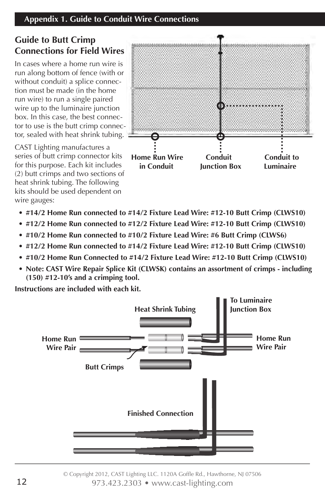### **Guide to Butt Crimp Connections for Field Wires**

In cases where a home run wire is run along bottom of fence (with or without conduit) a splice connection must be made (in the home run wire) to run a single paired wire up to the luminaire junction box. In this case, the best connector to use is the butt crimp connector, sealed with heat shrink tubing.

CAST Lighting manufactures a series of butt crimp connector kits for this purpose. Each kit includes (2) butt crimps and two sections of heat shrink tubing. The following kits should be used dependent on wire gauges:



- **• #14/2 Home Run connected to #14/2 Fixture Lead Wire: #12-10 Butt Crimp (CLWS10)**
- **• #12/2 Home Run connected to #12/2 Fixture Lead Wire: #12-10 Butt Crimp (CLWS10)**
- **• #10/2 Home Run connected to #10/2 Fixture Lead Wire: #6 Butt Crimp (CLWS6)**
- **• #12/2 Home Run connected to #14/2 Fixture Lead Wire: #12-10 Butt Crimp (CLWS10)**
- **• #10/2 Home Run Connected to #14/2 Fixture Lead Wire: #12-10 Butt Crimp (CLWS10)**
- **• Note: CAST Wire Repair Splice Kit (CLWSK) contains an assortment of crimps including (150) #12-10's and a crimping tool.**

**Instructions are included with each kit.**



© Copyright 2012, CAST Lighting LLC. 1120A Goffle Rd., Hawthorne, NJ 07506 12 973.423.2303 • www.cast-lighting.com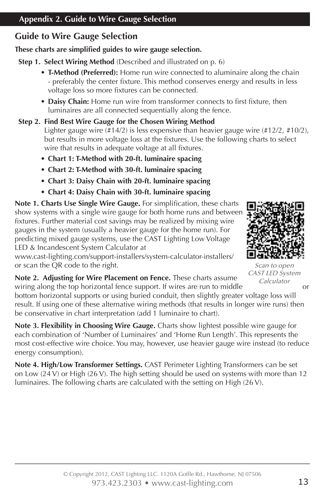## **Guide to Wire Gauge Selection**

#### **These charts are simplified guides to wire gauge selection.**

**Step 1. Select Wiring Method** (Described and illustrated on p. 6)

- **• T-Method (Preferred):** Home run wire connected to aluminaire along the chain - preferably the center fixture. This method conserves energy and results in less voltage loss so more fixtures can be connected.
- **• Daisy Chain:** Home run wire from transformer connects to first fixture, then luminaires are all connected sequentially along the fence.

#### **Step 2. Find Best Wire Gauge for the Chosen Wiring Method**

Lighter gauge wire (#14/2) is less expensive than heavier gauge wire (#12/2, #10/2), but results in more voltage loss at the fixtures. Use the following charts to select wire that results in adequate voltage at all fixtures.

- **• Chart 1: T-Method with 20-ft. luminaire spacing**
- **• Chart 2: T-Method with 30-ft. luminaire spacing**
- **• Chart 3: Daisy Chain with 20-ft. luminaire spacing**
- **• Chart 4: Daisy Chain with 30-ft. luminaire spacing**

**Note 1. Charts Use Single Wire Gauge.** For simplification, these charts show systems with a single wire gauge for both home runs and between fixtures. Further material cost savings may be realized by mixing wire gauges in the system (usually a heavier gauge for the home run). For predicting mixed gauge systems, use the CAST Lighting Low Voltage LED & Incandescent System Calculator at

www.cast-lighting.com/support-installers/system-calculator-installers/ or scan the QR code to the right.



Scan to open CAST LED System Calculator

**Note 2. Adjusting for Wire Placement on Fence.** These charts assume wiring along the top horizontal fence support. If wires are run to middle or

bottom horizontal supports or using buried conduit, then slightly greater voltage loss will result. If using one of these alternative wiring methods (that results in longer wire runs) then be conservative in chart interpretation (add 1 luminaire to chart).

**Note 3. Flexibility in Choosing Wire Gauge.** Charts show lightest possible wire gauge for each combination of 'Number of Luminaires' and 'Home Run Length'. This represents the most cost-effective wire choice. You may, however, use heavier gauge wire instead (to reduce energy consumption).

**Note 4. High/Low Transformer Settings.** CAST Perimeter Lighting Transformers can be set on Low (24 V) or High (26 V). The high setting should be used on systems with more than 12 luminaires. The following charts are calculated with the setting on High (26 V).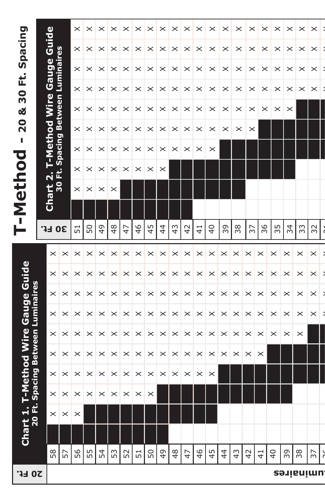|                                                  |                        |                        | $\times$        | ×        | $\times$      | ×             | ×              | $\times$              | ×        | $\times$      | $\times$       | $\times$       | $\times$      | $\times$       | $\times$       | $\times$      | $\times$       | $\times$      | $\times$       | $\times$ | $\times$   | $\times$ |   |
|--------------------------------------------------|------------------------|------------------------|-----------------|----------|---------------|---------------|----------------|-----------------------|----------|---------------|----------------|----------------|---------------|----------------|----------------|---------------|----------------|---------------|----------------|----------|------------|----------|---|
| Spacing                                          | Guide                  |                        | $\times$        | ×        | $\times$      | $\times$      | $\times$       | $\times$              | $\times$ | $\times$      | $\times$       | $\times$       | $\times$      | $\times$       | $\times$       | $\times$      | $\times$       | $\times$      | $\times$       | $\times$ | $\times$   | $\times$ | ÷ |
|                                                  | Gauge                  | Luminaires             | $\times$        | ×        | $\times$      | $\times$      | $\times$       | $\times$              | $\times$ | $\times$      | $\times$       | $\times$       | $\times$      | $\times$       | $\times$       | $\times$      | $\times$       | $\times$      | $\times$       | $\times$ | ×          | $\times$ |   |
| Ë<br>30                                          |                        |                        | $\times$        | $\times$ | $\times$      | $\times$      | $\times$       | $\times$              | $\times$ | $\times$      | $\times$       | $\times$       | $\times$      | ×              | $\times$       | $\times$      | ×              | $\times$      | $\times$       | $\times$ | $\times$   | $\times$ |   |
| ಳ                                                | Wire                   |                        | $\times$        | $\times$ | $\times$      | $\times$      | $\times$       | $\times$              | $\times$ | $\times$      | $\times$       | $\times$       | $\times$      | ×              | $\times$       | $\times$      | ×              | $\times$      | $\times$       | $\times$ |            |          |   |
| $\overline{2}$                                   |                        |                        | $\times$        | ×        | $\times$      | $\times$      | $\times$       | $\times$              | $\times$ | ×             | $\times$       | $\times$       | $\times$      | ×              | $\times$       | ×             | ×              |               |                |          |            |          |   |
| J.<br>$\overline{\mathbf{C}}$                    | T-Method               | <b>Spacing Between</b> | $\times$        | ×        | ×             | $\times$      | $\times$       | $\times$              | $\times$ | $\times$      | $\times$       | $\times$       | $\times$      | $\times$       |                |               |                |               |                |          |            |          |   |
|                                                  | $\dot{\mathbf{r}}$     | ť                      | $\times$        | ×        | ×             | $\times$      | $\times$       | $\times$              | $\times$ | $\times$      |                |                |               |                |                |               |                |               |                |          |            |          |   |
|                                                  | $\frac{1}{2}$<br>Chart |                        | $\times$        | $\times$ | ×             | $\times$      |                |                       |          |               |                |                |               |                |                |               |                |               |                |          |            |          |   |
| T-Metho                                          |                        |                        |                 |          |               |               |                |                       |          |               |                |                |               |                |                |               |                |               |                |          |            |          |   |
|                                                  | <b>30 Ft.</b>          |                        | $\overline{51}$ | 50       | $\frac{4}{9}$ | $\frac{4}{8}$ | $\overline{4}$ | 46                    | 45       | 4             | $\frac{4}{3}$  | $\overline{4}$ | $\frac{4}{1}$ | $\overline{4}$ | 39             | 38            | 57             | 36            | 55             | 34       | 33         | 32       |   |
|                                                  | $\times$               | $\times$               | $\times$        | $\times$ | $\times$      | $\times$      | $\times$       | $\times$              | $\times$ | $\times$      | $\times$       | $\times$       | $\times$      | $\times$       | $\times$       | ×             | $\times$       | $\times$      | $\times$       | $\times$ | $\times$   | $\times$ | ž |
|                                                  | $\times$               | $\times$               | $\times$        | $\times$ | $\times$      | ×             | $\times$       | $\times$              | $\times$ | $\times$      | $\times$       | $\times$       | $\times$      | $\times$       | $\times$       | $\times$      | $\times$       | $\times$      | $\times$       | $\times$ | $\times$   | $\times$ | ž |
|                                                  | $\times$               | $\times$               | $\times$        | $\times$ | $\times$      | $\times$      | $\times$       | $\times$              | $\times$ | $\times$      | $\times$       | $\times$       | $\times$      | $\times$       | $\times$       | $\times$      | $\times$       | $\times$      | $\times$       | $\times$ | $\times$   | $\times$ | X |
|                                                  | $\times$               | $\times$               | $\times$        | $\times$ | $\times$      | $\times$      | $\times$       | $\times$              | $\times$ | $\times$      | $\times$       | $\times$       | $\times$      | $\times$       | $\times$       | $\times$      | $\times$       | $\times$      | $\times$       | $\times$ | $\times$   | $\times$ |   |
|                                                  | $\times$               | $\times$               | $\times$        | $\times$ | $\times$      | $\times$      | $\times$       | $\times$              | $\times$ | $\times$      | $\times$       | $\times$       | $\times$      | $\times$       | $\times$       | $\times$      | $\times$       | $\times$      | $\times$       | ×        | ×          |          |   |
| ethod Wire Gauge Guide<br>ing Between Luminaires | $\times$               | $\times$               | $\times$        | $\times$ | $\times$      | $\times$      | $\times$       | $\times$              | $\times$ | $\times$      | $\times$       | $\times$       | $\times$      | $\times$       | $\times$       | $\times$      | ×              | $\times$      |                |          |            |          |   |
|                                                  | $\times$               | $\times$               | $\times$        | $\times$ | $\times$      | $\times$      | ×              | $\times$              | $\times$ | $\times$      | $\times$       | $\times$       | $\times$      | $\times$       |                |               |                |               |                |          |            |          |   |
| Chart 1. T-Me<br>20 Ft. Spac                     | $\times$               | $\times$               | $\times$        | $\times$ | $\times$      | $\times$      | $\times$       | $\boldsymbol{\times}$ | $\times$ |               |                |                |               |                |                |               |                |               |                |          |            |          |   |
|                                                  | $\times$               | $\boldsymbol{\times}$  | $\times$        |          |               |               |                |                       |          |               |                |                |               |                |                |               |                |               |                |          |            |          |   |
|                                                  |                        |                        |                 |          |               |               |                |                       |          |               |                |                |               |                |                |               |                |               |                |          |            |          |   |
|                                                  | 58                     | 57                     | 56              | 55       | 54            | 53            | 52             | 51                    | 50       | $\frac{4}{9}$ | $\frac{48}{5}$ | $\overline{4}$ | 46            | 45             | $\overline{4}$ | $\frac{4}{3}$ | $\overline{4}$ | $\frac{1}{4}$ | $\overline{4}$ | 39       | 38         | 57       | č |
| 20 Ft.                                           |                        |                        |                 |          |               |               |                |                       |          |               |                |                |               |                |                |               |                |               |                |          | luminaries |          |   |
|                                                  |                        |                        |                 |          |               |               |                |                       |          |               |                |                |               |                |                |               |                |               |                |          |            |          |   |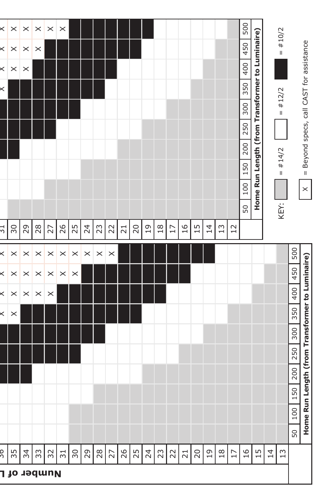|          | Number of L           |                       |          |                       |                 |            |                |          |                       |                 |                 |                 |               |                 |                 |                |                 |      |          |               |                                                 |                |           |     |                                          |
|----------|-----------------------|-----------------------|----------|-----------------------|-----------------|------------|----------------|----------|-----------------------|-----------------|-----------------|-----------------|---------------|-----------------|-----------------|----------------|-----------------|------|----------|---------------|-------------------------------------------------|----------------|-----------|-----|------------------------------------------|
| 9C       | 55                    | 34                    | 33       | 32                    | $\overline{51}$ | $\sqrt{5}$ | $^{29}$        | $28$     | $\overline{27}$       | 26              | 25              | $\overline{24}$ | 23            | 22              | $\overline{21}$ | $\overline{c}$ | $\overline{0}1$ | $18$ | $\Gamma$ | $\frac{6}{1}$ | $15$                                            | $\overline{4}$ | 13        |     |                                          |
|          |                       |                       |          |                       |                 |            |                |          |                       |                 |                 |                 |               |                 |                 |                |                 |      |          |               |                                                 |                |           | 50  |                                          |
|          |                       |                       |          |                       |                 |            |                |          |                       |                 |                 |                 |               |                 |                 |                |                 |      |          |               |                                                 |                |           | 100 | Home Run Len                             |
|          |                       |                       |          |                       |                 |            |                |          |                       |                 |                 |                 |               |                 |                 |                |                 |      |          |               |                                                 |                |           | 150 |                                          |
|          |                       |                       |          |                       |                 |            |                |          |                       |                 |                 |                 |               |                 |                 |                |                 |      |          |               |                                                 |                |           | 200 |                                          |
|          |                       |                       |          |                       |                 |            |                |          |                       |                 |                 |                 |               |                 |                 |                |                 |      |          |               |                                                 |                |           | 250 |                                          |
|          |                       |                       |          |                       |                 |            |                |          |                       |                 |                 |                 |               |                 |                 |                |                 |      |          |               |                                                 |                |           | 300 |                                          |
|          | $\times$              |                       |          |                       |                 |            |                |          |                       |                 |                 |                 |               |                 |                 |                |                 |      |          |               |                                                 |                |           | 350 |                                          |
|          | $\times$              | $\times$              | $\times$ | $\times$              |                 |            |                |          |                       |                 |                 |                 |               |                 |                 |                |                 |      |          |               |                                                 |                |           | 400 |                                          |
|          | $\times$              | $\times$              | $\times$ | $\boldsymbol{\times}$ | $\times$        | $\times$   |                |          |                       |                 |                 |                 |               |                 |                 |                |                 |      |          |               |                                                 |                |           | 450 | gth (from Transformer to Luminaire)      |
|          | $\times$              | $\times$              | $\times$ | $\times$              | $\times$        | $\times$   | $\times$       | $\times$ | $\boldsymbol{\times}$ |                 |                 |                 |               |                 |                 |                |                 |      |          |               |                                                 |                |           | 500 |                                          |
| Τ£       | 30                    | 29                    | $28$     | 27                    | 26              | 25         | $\overline{2}$ | 23       | $\overline{2}$        | $\overline{21}$ | $\overline{20}$ | $\overline{c}$  | $\frac{8}{1}$ | $\overline{17}$ | 16              | 15             | $\overline{4}$  | 13   | 12       |               |                                                 |                |           |     |                                          |
|          |                       |                       |          |                       |                 |            |                |          |                       |                 |                 |                 |               |                 |                 |                |                 |      |          | 100 <br>50    | Home Run Length (from Transformer to Luminaire) |                | KEY:      |     | $\times$                                 |
|          |                       |                       |          |                       |                 |            |                |          |                       |                 |                 |                 |               |                 |                 |                |                 |      |          | 150           |                                                 |                | $=$ #14/2 |     | = Beyond specs, call CAST for assistance |
|          |                       |                       |          |                       |                 |            |                |          |                       |                 |                 |                 |               |                 |                 |                |                 |      |          | 200           |                                                 |                |           |     |                                          |
|          |                       |                       |          |                       |                 |            |                |          |                       |                 |                 |                 |               |                 |                 |                |                 |      |          | 300<br>250    |                                                 |                |           |     |                                          |
|          |                       |                       |          |                       |                 |            |                |          |                       |                 |                 |                 |               |                 |                 |                |                 |      |          | 350           |                                                 |                | $=$ #12/2 |     |                                          |
| $\times$ | $\times$              | $\boldsymbol{\times}$ |          |                       |                 |            |                |          |                       |                 |                 |                 |               |                 |                 |                |                 |      |          | 400           |                                                 |                |           |     |                                          |
| ×        | $\times$              | $\times$              | $\times$ |                       |                 |            |                |          |                       |                 |                 |                 |               |                 |                 |                |                 |      |          | 450           |                                                 |                | $=$ #10/2 |     |                                          |
| ×        | $\boldsymbol{\times}$ | $\times$              | $\times$ | $\times$              | $\times$        |            |                |          |                       |                 |                 |                 |               |                 |                 |                |                 |      |          | 500           |                                                 |                |           |     |                                          |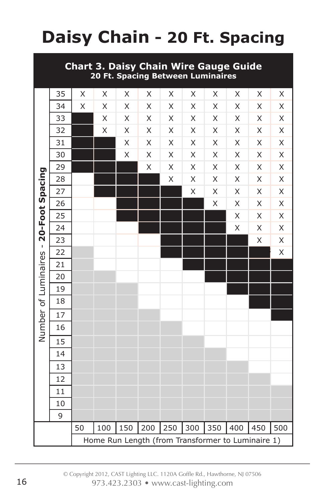## **Daisy Chain - 20 Ft. Spacing**

#### **Chart 3. Daisy Chain Wire Gauge Guide 20 Ft. Spacing Between Luminaires**

|                                                   | 35 | X  | $\mathsf X$ | X   | X                       | Χ   | Χ           | X   | X   | X   | Χ                  |
|---------------------------------------------------|----|----|-------------|-----|-------------------------|-----|-------------|-----|-----|-----|--------------------|
|                                                   | 34 | X  | X           | X   | X                       | X   | X           | X   | X   | X   | $\mathsf X$        |
|                                                   | 33 |    | X           | X   | X                       | X   | X           | X   | X   | X   | $\sf X$            |
|                                                   | 32 |    | X           | X   | X                       | X   | X           | X   | X   | X   | X                  |
|                                                   | 31 |    |             | X   | X                       | X   | X           | X   | X   | X   | $\mathsf{X}% _{0}$ |
|                                                   | 30 |    |             | X   | Χ                       | X   | $\mathsf X$ | Χ   | Χ   | Χ   | $\mathsf X$        |
|                                                   | 29 |    |             |     | $\overline{\mathsf{X}}$ | X   | $\sf X$     | X   | X   | X   | $\mathsf{X}% _{0}$ |
|                                                   | 28 |    |             |     |                         | X   | $\mathsf X$ | X   | X   | X   | X                  |
|                                                   | 27 |    |             |     |                         |     | X           | X   | X   | X   | $\mathsf{X}% _{0}$ |
| Number of Luminaires - 20-Foot Spacing            | 26 |    |             |     |                         |     |             | X   | X   | X   | X                  |
|                                                   | 25 |    |             |     |                         |     |             |     | X   | X   | X                  |
|                                                   | 24 |    |             |     |                         |     |             |     | X   | X   | X                  |
|                                                   | 23 |    |             |     |                         |     |             |     |     | X   | X                  |
|                                                   | 22 |    |             |     |                         |     |             |     |     |     | $\mathsf{X}$       |
|                                                   | 21 |    |             |     |                         |     |             |     |     |     |                    |
|                                                   | 20 |    |             |     |                         |     |             |     |     |     |                    |
|                                                   | 19 |    |             |     |                         |     |             |     |     |     |                    |
|                                                   | 18 |    |             |     |                         |     |             |     |     |     |                    |
|                                                   | 17 |    |             |     |                         |     |             |     |     |     |                    |
|                                                   | 16 |    |             |     |                         |     |             |     |     |     |                    |
|                                                   | 15 |    |             |     |                         |     |             |     |     |     |                    |
|                                                   | 14 |    |             |     |                         |     |             |     |     |     |                    |
|                                                   | 13 |    |             |     |                         |     |             |     |     |     |                    |
|                                                   | 12 |    |             |     |                         |     |             |     |     |     |                    |
|                                                   | 11 |    |             |     |                         |     |             |     |     |     |                    |
|                                                   | 10 |    |             |     |                         |     |             |     |     |     |                    |
|                                                   | 9  |    |             |     |                         |     |             |     |     |     |                    |
|                                                   |    | 50 | 100         | 150 | 200                     | 250 | 300         | 350 | 400 | 450 | 500                |
| Home Run Length (from Transformer to Luminaire 1) |    |    |             |     |                         |     |             |     |     |     |                    |
|                                                   |    |    |             |     |                         |     |             |     |     |     |                    |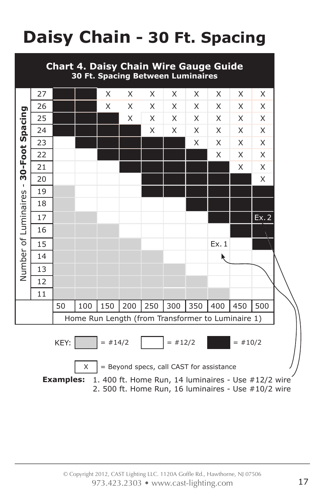## **Daisy Chain - 30 Ft. Spacing**



2. 500 ft. Home Run, 16 luminaires - Use #10/2 wire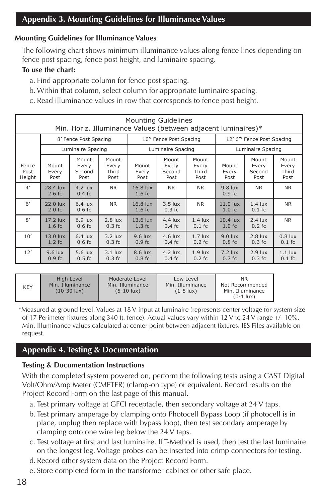#### **Mounting Guidelines for Illuminance Values**

The following chart shows minimum illuminance values along fence lines depending on fence post spacing, fence post height, and luminaire spacing.

#### **To use the chart:**

- a. Find appropriate column for fence post spacing.
- b.Within that column, select column for appropriate luminaire spacing.
- c. Read illuminance values in row that corresponds to fence post height.

|                         | <b>Mounting Guidelines</b><br>Min. Horiz. Illuminance Values (between adjacent luminaires)* |                                  |                                 |                                |                                  |                                 |                                  |                                  |                                 |  |  |
|-------------------------|---------------------------------------------------------------------------------------------|----------------------------------|---------------------------------|--------------------------------|----------------------------------|---------------------------------|----------------------------------|----------------------------------|---------------------------------|--|--|
|                         |                                                                                             | 8' Fence Post Spacing            |                                 |                                | 10" Fence Post Spacing           |                                 | 12' 6"' Fence Post Spacing       |                                  |                                 |  |  |
|                         |                                                                                             | Luminaire Spacing                |                                 |                                | Luminaire Spacing                |                                 | Luminaire Spacing                |                                  |                                 |  |  |
| Fence<br>Post<br>Height | Mount<br>Every<br>Post                                                                      | Mount<br>Every<br>Second<br>Post | Mount<br>Every<br>Third<br>Post | Mount<br>Every<br>Post         | Mount<br>Every<br>Second<br>Post | Mount<br>Every<br>Third<br>Post | Mount<br>Every<br>Post           | Mount<br>Every<br>Second<br>Post | Mount<br>Every<br>Third<br>Post |  |  |
| 4'                      | 28.4 lux<br>$2.6$ fc                                                                        | $4.2$ lux<br>$0.4$ fc            | <b>NR</b>                       | 16.8 lux<br>1.6 f <sub>C</sub> | <b>NR</b>                        | <b>NR</b>                       | $9.8$ lux<br>0.9 f <sub>C</sub>  | <b>NR</b>                        | <b>NR</b>                       |  |  |
| 6'                      | 22.0 lux<br>$2.0$ fc                                                                        | $6.4$ lux<br>$0.6$ fc            | <b>NR</b>                       | 16.8 lux<br>1.6 f <sub>C</sub> | $3.5$ lux<br>$0.3$ fc            | <b>NR</b>                       | $11.0$ lux<br>1.0 f <sub>C</sub> | $1.4$ lux<br>$0.1$ fc            | <b>NR</b>                       |  |  |
| 8'                      | $17.2$ lux<br>$1.6$ fc                                                                      | $6.9$ lux<br>$0.6$ fc            | $2.8$ lux<br>$0.3$ fc           | $13.6$ lux<br>$1.3$ fc         | $4.4$ lux<br>$0.4$ fc            | $1.4$ lux<br>$0.1$ fc           | $10.4$ lux<br>1.0 f <sub>C</sub> | $2.4$ lux<br>$0.2$ fc            | <b>NR</b>                       |  |  |
| 10'                     | 13.0 lux<br>$1.2$ fc                                                                        | $6.4$ lux<br>$0.6$ fc            | $3.2$ lux<br>$0.3$ fc           | $9.6$ lux<br>$0.9 f$ c         | $4.6$ lux<br>$0.4$ fc            | $1.7$ lux<br>$0.2$ fc           | $9.0$ lux<br>$0.8$ fc            | $2.8$ lux<br>$0.3$ fc            | $0.8$ lux<br>$0.1$ fc           |  |  |
| 12'                     | $9.6$ lux<br>0.9fc                                                                          | 5.6 lux<br>$0.5$ fc              | $3.1$ lux<br>$0.3$ fc           | 8.6 lux<br>$0.8$ fc            | $4.2$ lux<br>$0.4$ fc            | $1.9$ lux<br>$0.2$ fc           | $7.2$ lux<br>$0.7$ fc            | $2.9$ lux<br>$0.3$ fc            | $1.1$ lux<br>$0.1$ fc           |  |  |

| <b>KEY</b> | High Level<br>Min. Illuminance<br>$(10-30 \text{ lux})$ | Moderate Level<br>Min. Illuminance<br>$(5-10$ lux) | Low Level<br>Min. Illuminance<br>$(1-5$ lux) | <b>NR</b><br>Not Recommended<br>Min. Illuminance<br>$(0-1$ lux $)$ |
|------------|---------------------------------------------------------|----------------------------------------------------|----------------------------------------------|--------------------------------------------------------------------|
|------------|---------------------------------------------------------|----------------------------------------------------|----------------------------------------------|--------------------------------------------------------------------|

\*Measured at ground level. Values at 18 V input at luminaire (represents center voltage for system size of 17 Perimeter fixtures along 340 ft. fence). Actual values vary within 12 V to 24 V range +/- 10%. Min. Illuminance values calculated at center point between adjacent fixtures. IES Files available on request.

#### **Appendix 4. Testing & Documentation**

#### **Testing & Documentation Instructions**

With the completed system powered on, perform the following tests using a CAST Digital Volt/Ohm/Amp Meter (CMETER) (clamp-on type) or equivalent. Record results on the Project Record Form on the last page of this manual.

- a. Test primary voltage at GFCI receptacle, then secondary voltage at 24 V taps.
- b. Test primary amperage by clamping onto Photocell Bypass Loop (if photocell is in place, unplug then replace with bypass loop), then test secondary amperage by clamping onto one wire leg below the 24 V taps.
- c. Test voltage at first and last luminaire. If T-Method is used, then test the last luminaire on the longest leg. Voltage probes can be inserted into crimp connectors for testing.
- d. Record other system data on the Project Record Form.
- e. Store completed form in the transformer cabinet or other safe place.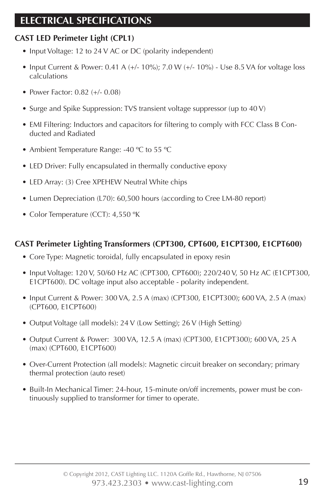## **ELECTRICAL SPECIFICATIONS**

#### **CAST LED Perimeter Light (CPL1)**

- Input Voltage: 12 to 24 V AC or DC (polarity independent)
- Input Current & Power: 0.41 A  $(+/- 10\%)$ ; 7.0 W  $(+/- 10\%)$  Use 8.5 VA for voltage loss calculations
- Power Factor: 0.82 (+/- 0.08)
- Surge and Spike Suppression: TVS transient voltage suppressor (up to 40 V)
- EMI Filtering: Inductors and capacitors for filtering to comply with FCC Class B Conducted and Radiated
- Ambient Temperature Range: -40 °C to 55 °C
- LED Driver: Fully encapsulated in thermally conductive epoxy
- LED Array: (3) Cree XPEHEW Neutral White chips
- Lumen Depreciation (L70): 60,500 hours (according to Cree LM-80 report)
- Color Temperature (CCT): 4,550 °K

#### **CAST Perimeter Lighting Transformers (CPT300, CPT600, E1CPT300, E1CPT600)**

- Core Type: Magnetic toroidal, fully encapsulated in epoxy resin
- Input Voltage: 120 V, 50/60 Hz AC (CPT300, CPT600); 220/240 V, 50 Hz AC (E1CPT300, E1CPT600). DC voltage input also acceptable - polarity independent.
- Input Current & Power: 300 VA, 2.5 A (max) (CPT300, E1CPT300); 600 VA, 2.5 A (max) (CPT600, E1CPT600)
- Output Voltage (all models): 24 V (Low Setting); 26 V (High Setting)
- Output Current & Power: 300 VA, 12.5 A (max) (CPT300, E1CPT300); 600 VA, 25 A (max) (CPT600, E1CPT600)
- Over-Current Protection (all models): Magnetic circuit breaker on secondary; primary thermal protection (auto reset)
- Built-In Mechanical Timer: 24-hour, 15-minute on/off increments, power must be continuously supplied to transformer for timer to operate.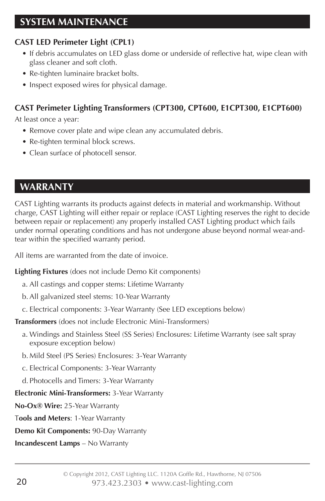#### **CAST LED Perimeter Light (CPL1)**

- If debris accumulates on LED glass dome or underside of reflective hat, wipe clean with glass cleaner and soft cloth.
- Re-tighten luminaire bracket bolts.
- Inspect exposed wires for physical damage.

#### **CAST Perimeter Lighting Transformers (CPT300, CPT600, E1CPT300, E1CPT600)**

At least once a year:

- Remove cover plate and wipe clean any accumulated debris.
- Re-tighten terminal block screws.
- Clean surface of photocell sensor.

## **WARRANTY**

CAST Lighting warrants its products against defects in material and workmanship. Without charge, CAST Lighting will either repair or replace (CAST Lighting reserves the right to decide between repair or replacement) any properly installed CAST Lighting product which fails under normal operating conditions and has not undergone abuse beyond normal wear-andtear within the specified warranty period.

All items are warranted from the date of invoice.

**Lighting Fixtures** (does not include Demo Kit components)

- a. All castings and copper stems: Lifetime Warranty
- b.All galvanized steel stems: 10-Year Warranty
- c. Electrical components: 3-Year Warranty (See LED exceptions below)

**Transformers** (does not include Electronic Mini-Transformers)

- a. Windings and Stainless Steel (SS Series) Enclosures: Lifetime Warranty (see salt spray exposure exception below)
- b. Mild Steel (PS Series) Enclosures: 3-Year Warranty
- c. Electrical Components: 3-Year Warranty
- d. Photocells and Timers: 3-Year Warranty

**Electronic Mini-Transformers:** 3-Year Warranty

**No-Ox® Wire:** 25-Year Warranty

T**ools and Meters**: 1-Year Warranty

**Demo Kit Components:** 90-Day Warranty

**Incandescent Lamps** – No Warranty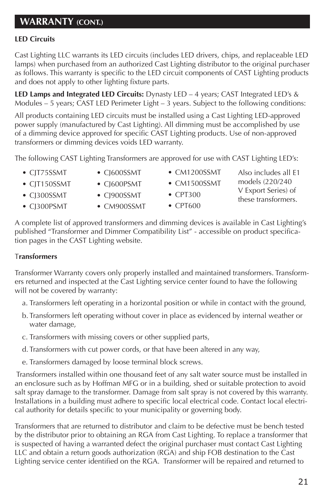## **WARRANTY (CONT.)**

#### **LED Circuits**

Cast Lighting LLC warrants its LED circuits (includes LED drivers, chips, and replaceable LED lamps) when purchased from an authorized Cast Lighting distributor to the original purchaser as follows. This warranty is specific to the LED circuit components of CAST Lighting products and does not apply to other lighting fixture parts.

**LED Lamps and Integrated LED Circuits:** Dynasty LED – 4 years; CAST Integrated LED's & Modules – 5 years; CAST LED Perimeter Light – 3 years. Subject to the following conditions:

All products containing LED circuits must be installed using a Cast Lighting LED-approved power supply (manufactured by Cast Lighting). All dimming must be accomplished by use of a dimming device approved for specific CAST Lighting products. Use of non-approved transformers or dimming devices voids LED warranty.

The following CAST Lighting Transformers are approved for use with CAST Lighting LED's:

- CJT75SSMT
- CJ600SSMT
- CM1200SSMT
- CJT150SSMT • CJ300SSMT
- CJ600PSMT • CJ900SSMT
- CM1500SSMT
- CPT300
- CPT600
- Also includes all E1 models (220/240 V Export Series) of
- these transformers.
- CJ300PSMT
- CM900SSMT
- A complete list of approved transformers and dimming devices is available in Cast Lighting's published "Transformer and Dimmer Compatibility List" - accessible on product specification pages in the CAST Lighting website.

#### T**ransformers**

Transformer Warranty covers only properly installed and maintained transformers. Transformers returned and inspected at the Cast Lighting service center found to have the following will not be covered by warranty:

- a. Transformers left operating in a horizontal position or while in contact with the ground,
- b. Transformers left operating without cover in place as evidenced by internal weather or water damage,
- c. Transformers with missing covers or other supplied parts,
- d. Transformers with cut power cords, or that have been altered in any way,
- e. Transformers damaged by loose terminal block screws.

 Transformers installed within one thousand feet of any salt water source must be installed in an enclosure such as by Hoffman MFG or in a building, shed or suitable protection to avoid salt spray damage to the transformer. Damage from salt spray is not covered by this warranty. Installations in a building must adhere to specific local electrical code. Contact local electrical authority for details specific to your municipality or governing body.

Transformers that are returned to distributor and claim to be defective must be bench tested by the distributor prior to obtaining an RGA from Cast Lighting. To replace a transformer that is suspected of having a warranted defect the original purchaser must contact Cast Lighting LLC and obtain a return goods authorization (RGA) and ship FOB destination to the Cast Lighting service center identified on the RGA. Transformer will be repaired and returned to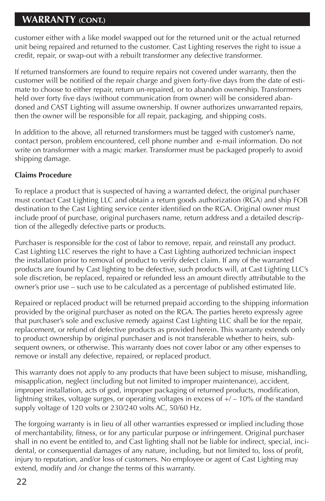## **WARRANTY (CONT.)**

customer either with a like model swapped out for the returned unit or the actual returned unit being repaired and returned to the customer. Cast Lighting reserves the right to issue a credit, repair, or swap-out with a rebuilt transformer any defective transformer.

If returned transformers are found to require repairs not covered under warranty, then the customer will be notified of the repair charge and given forty-five days from the date of estimate to choose to either repair, return un-repaired, or to abandon ownership. Transformers held over forty five days (without communication from owner) will be considered abandoned and CAST Lighting will assume ownership. If owner authorizes unwarranted repairs, then the owner will be responsible for all repair, packaging, and shipping costs.

In addition to the above, all returned transformers must be tagged with customer's name, contact person, problem encountered, cell phone number and e-mail information. Do not write on transformer with a magic marker. Transformer must be packaged properly to avoid shipping damage.

#### **Claims Procedure**

To replace a product that is suspected of having a warranted defect, the original purchaser must contact Cast Lighting LLC and obtain a return goods authorization (RGA) and ship FOB destination to the Cast Lighting service center identified on the RGA. Original owner must include proof of purchase, original purchasers name, return address and a detailed description of the allegedly defective parts or products.

Purchaser is responsible for the cost of labor to remove, repair, and reinstall any product. Cast Lighting LLC reserves the right to have a Cast Lighting authorized technician inspect the installation prior to removal of product to verify defect claim. If any of the warranted products are found by Cast lighting to be defective, such products will, at Cast Lighting LLC's sole discretion, be replaced, repaired or refunded less an amount directly attributable to the owner's prior use – such use to be calculated as a percentage of published estimated life.

Repaired or replaced product will be returned prepaid according to the shipping information provided by the original purchaser as noted on the RGA. The parties hereto expressly agree that purchaser's sole and exclusive remedy against Cast Lighting LLC shall be for the repair, replacement, or refund of defective products as provided herein. This warranty extends only to product ownership by original purchaser and is not transferable whether to heirs, subsequent owners, or otherwise. This warranty does not cover labor or any other expenses to remove or install any defective, repaired, or replaced product.

This warranty does not apply to any products that have been subject to misuse, mishandling, misapplication, neglect (including but not limited to improper maintenance), accident, improper installation, acts of god, improper packaging of returned products, modification, lightning strikes, voltage surges, or operating voltages in excess of +/ – 10% of the standard supply voltage of 120 volts or 230/240 volts AC, 50/60 Hz.

The forgoing warranty is in lieu of all other warranties expressed or implied including those of merchantability, fitness, or for any particular purpose or infringement. Original purchaser shall in no event be entitled to, and Cast lighting shall not be liable for indirect, special, incidental, or consequential damages of any nature, including, but not limited to, loss of profit, injury to reputation, and/or loss of customers. No employee or agent of Cast Lighting may extend, modify and /or change the terms of this warranty.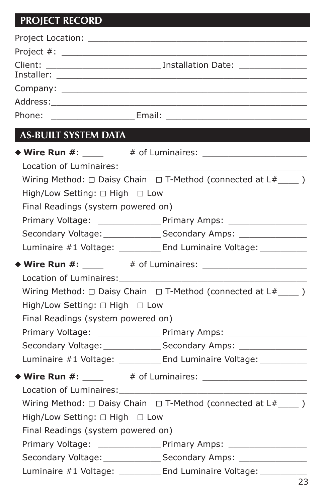## **PROJECT RECORD**

| <b>AS-BUILT SYSTEM DATA</b>              |                                                                                  |
|------------------------------------------|----------------------------------------------------------------------------------|
|                                          | ◆ Wire Run #: $#$ : # of Luminaires: $#$                                         |
|                                          |                                                                                  |
|                                          | Wiring Method: $\Box$ Daisy Chain $\Box$ T-Method (connected at $L#$ ______)     |
| High/Low Setting: $\Box$ High $\Box$ Low |                                                                                  |
| Final Readings (system powered on)       |                                                                                  |
|                                          |                                                                                  |
|                                          | Secondary Voltage: _________________ Secondary Amps: ___________________________ |
|                                          | Luminaire #1 Voltage: __________ End Luminaire Voltage: ___________              |
|                                          | ◆ Wire Run #: $\frac{1}{2}$ # of Luminaires: $\frac{1}{2}$                       |
|                                          |                                                                                  |
|                                          | Wiring Method: $\Box$ Daisy Chain $\Box$ T-Method (connected at L#_____ )        |
| High/Low Setting: □ High □ Low           |                                                                                  |
| Final Readings (system powered on)       |                                                                                  |
|                                          |                                                                                  |
|                                          | Secondary Voltage: _____________________Secondary Amps: ________________________ |
|                                          | Luminaire #1 Voltage: __________ End Luminaire Voltage: __________               |
|                                          |                                                                                  |
|                                          |                                                                                  |
|                                          | Wiring Method: $\Box$ Daisy Chain $\Box$ T-Method (connected at $L#$ ______)     |
| High/Low Setting: □ High □ Low           |                                                                                  |
| Final Readings (system powered on)       |                                                                                  |
|                                          |                                                                                  |
|                                          |                                                                                  |
|                                          | Luminaire #1 Voltage: _________ End Luminaire Voltage: __________                |